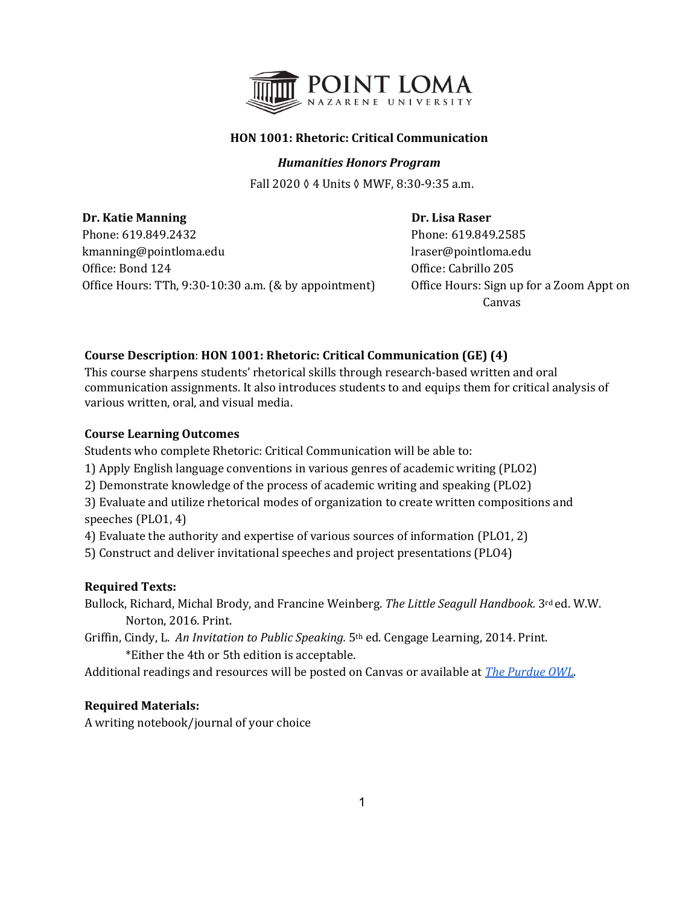

# **HON 1001: Rhetoric: Critical Communication**

## *Humanities Honors Program*

Fall 2020 ◊ 4 Units ◊ MWF, 8:30-9:35 a.m.

**Dr. Katie Manning Community Community Community Community Community Community Community Community Community Community Community Community Community Community Community Community Community Community Community Community Com** Phone: 619.849.2432 Phone: 619.849.2585 kmanning@pointloma.edu lraser@pointloma.edu Office: Bond 124 Office: Cabrillo 205 Office Hours: TTh, 9:30-10:30 a.m. (& by appointment) Office Hours: Sign up for a Zoom Appt on

Canvas

# **Course Description**: **HON 1001: Rhetoric: Critical Communication (GE) (4)**

This course sharpens students' rhetorical skills through research‐based written and oral communication assignments. It also introduces students to and equips them for critical analysis of various written, oral, and visual media.

# **Course Learning Outcomes**

Students who complete Rhetoric: Critical Communication will be able to:

- 1) Apply English language conventions in various genres of academic writing (PLO2)
- 2) Demonstrate knowledge of the process of academic writing and speaking (PLO2)

3) Evaluate and utilize rhetorical modes of organization to create written compositions and speeches (PLO1, 4)

4) Evaluate the authority and expertise of various sources of information (PLO1, 2)

5) Construct and deliver invitational speeches and project presentations (PLO4)

# **Required Texts:**

Bullock, Richard, Michal Brody, and Francine Weinberg. *The Little Seagull Handbook.* 3rd ed. W.W. Norton, 2016. Print.

Griffin, Cindy, L. *An Invitation to Public Speaking.* 5th ed. Cengage Learning, 2014. Print. \*Either the 4th or 5th edition is acceptable.

Additional readings and resources will be posted on Canvas or available at *[The Purdue OWL](http://owl.english.purdue.edu/owl)*.

# **Required Materials:**

A writing notebook/journal of your choice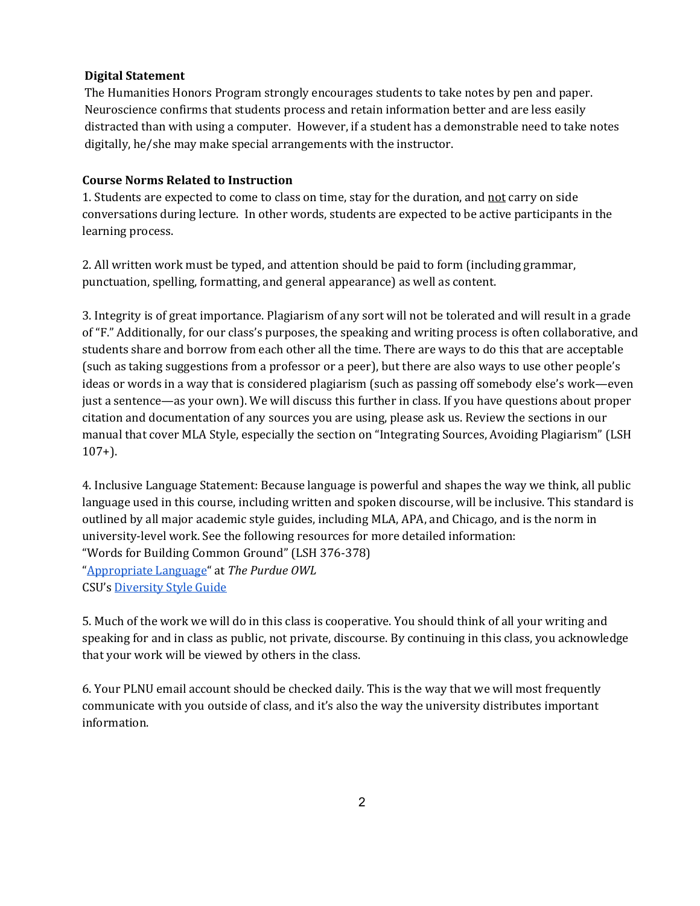## **Digital Statement**

The Humanities Honors Program strongly encourages students to take notes by pen and paper. Neuroscience confirms that students process and retain information better and are less easily distracted than with using a computer. However, if a student has a demonstrable need to take notes digitally, he/she may make special arrangements with the instructor.

## **Course Norms Related to Instruction**

1. Students are expected to come to class on time, stay for the duration, and not carry on side conversations during lecture. In other words, students are expected to be active participants in the learning process.

2. All written work must be typed, and attention should be paid to form (including grammar, punctuation, spelling, formatting, and general appearance) as well as content.

3. Integrity is of great importance. Plagiarism of any sort will not be tolerated and will result in a grade of "F." Additionally, for our class's purposes, the speaking and writing process is often collaborative, and students share and borrow from each other all the time. There are ways to do this that are acceptable (such as taking suggestions from a professor or a peer), but there are also ways to use other people's ideas or words in a way that is considered plagiarism (such as passing off somebody else's work—even just a sentence—as your own). We will discuss this further in class. If you have questions about proper citation and documentation of any sources you are using, please ask us. Review the sections in our manual that cover MLA Style, especially the section on "Integrating Sources, Avoiding Plagiarism" (LSH 107+).

4. Inclusive Language Statement: Because language is powerful and shapes the way we think, all public language used in this course, including written and spoken discourse, will be inclusive. This standard is outlined by all major academic style guides, including MLA, APA, and Chicago, and is the norm in university-level work. See the following resources for more detailed information: "Words for Building Common Ground" (LSH 376-378) "[Appropriate Language"](https://owl.purdue.edu/owl/general_writing/academic_writing/using_appropriate_language/index.html) at *The Purdue OWL* CSU's [Diversity Style Guide](https://www2.calstate.edu/csu-system/csu-branding-standards/editorial-style-guide/Pages/diversity-style-guide.aspx)

5. Much of the work we will do in this class is cooperative. You should think of all your writing and speaking for and in class as public, not private, discourse. By continuing in this class, you acknowledge that your work will be viewed by others in the class.

6. Your PLNU email account should be checked daily. This is the way that we will most frequently communicate with you outside of class, and it's also the way the university distributes important information.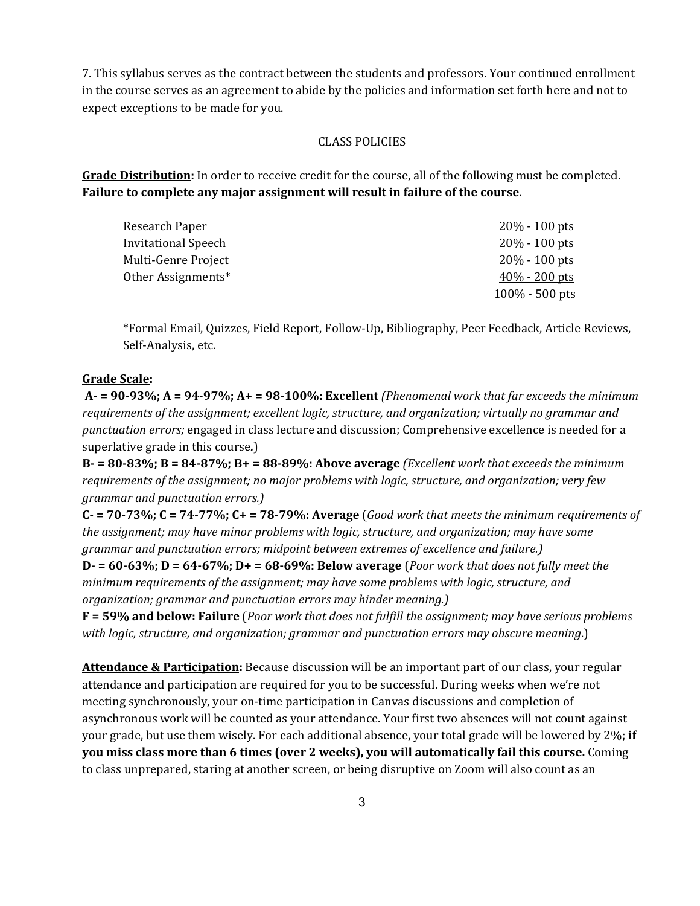7. This syllabus serves as the contract between the students and professors. Your continued enrollment in the course serves as an agreement to abide by the policies and information set forth here and not to expect exceptions to be made for you.

## CLASS POLICIES

**Grade Distribution:** In order to receive credit for the course, all of the following must be completed. **Failure to complete any major assignment will result in failure of the course**.

| Research Paper             | $20\% - 100$ pts  |
|----------------------------|-------------------|
| <b>Invitational Speech</b> | $20\% - 100$ pts  |
| Multi-Genre Project        | $20\% - 100$ pts  |
| Other Assignments*         | $40\%$ - 200 pts  |
|                            | $100\% - 500$ pts |

\*Formal Email, Quizzes, Field Report, Follow-Up, Bibliography, Peer Feedback, Article Reviews, Self-Analysis, etc.

## **Grade Scale:**

**A- = 90-93%; A = 94-97%; A+ = 98-100%: Excellent** *(Phenomenal work that far exceeds the minimum requirements of the assignment; excellent logic, structure, and organization; virtually no grammar and punctuation errors;* engaged in class lecture and discussion; Comprehensive excellence is needed for a superlative grade in this course*.*)

**B- = 80-83%; B = 84-87%; B+ = 88-89%: Above average** *(Excellent work that exceeds the minimum requirements of the assignment; no major problems with logic, structure, and organization; very few grammar and punctuation errors.)*

**C- = 70-73%; C = 74-77%; C+ = 78-79%: Average** (*Good work that meets the minimum requirements of the assignment; may have minor problems with logic, structure, and organization; may have some grammar and punctuation errors; midpoint between extremes of excellence and failure.)*

**D- = 60-63%; D = 64-67%; D+ = 68-69%: Below average** (*Poor work that does not fully meet the minimum requirements of the assignment; may have some problems with logic, structure, and organization; grammar and punctuation errors may hinder meaning.)*

**F = 59% and below: Failure** (*Poor work that does not fulfill the assignment; may have serious problems with logic, structure, and organization; grammar and punctuation errors may obscure meaning*.)

**Attendance & Participation:** Because discussion will be an important part of our class, your regular attendance and participation are required for you to be successful. During weeks when we're not meeting synchronously, your on-time participation in Canvas discussions and completion of asynchronous work will be counted as your attendance. Your first two absences will not count against your grade, but use them wisely. For each additional absence, your total grade will be lowered by 2%; **if you miss class more than 6 times (over 2 weeks), you will automatically fail this course.** Coming to class unprepared, staring at another screen, or being disruptive on Zoom will also count as an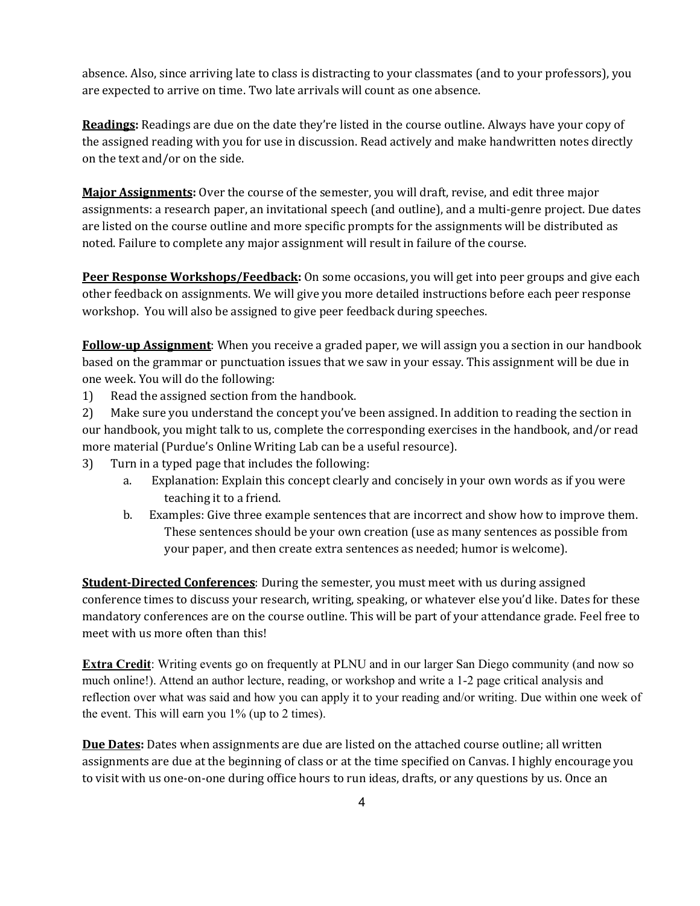absence. Also, since arriving late to class is distracting to your classmates (and to your professors), you are expected to arrive on time. Two late arrivals will count as one absence.

**Readings:** Readings are due on the date they're listed in the course outline. Always have your copy of the assigned reading with you for use in discussion. Read actively and make handwritten notes directly on the text and/or on the side.

**Major Assignments:** Over the course of the semester, you will draft, revise, and edit three major assignments: a research paper, an invitational speech (and outline), and a multi-genre project. Due dates are listed on the course outline and more specific prompts for the assignments will be distributed as noted. Failure to complete any major assignment will result in failure of the course.

**Peer Response Workshops/Feedback:** On some occasions, you will get into peer groups and give each other feedback on assignments. We will give you more detailed instructions before each peer response workshop. You will also be assigned to give peer feedback during speeches.

**Follow-up Assignment**: When you receive a graded paper, we will assign you a section in our handbook based on the grammar or punctuation issues that we saw in your essay. This assignment will be due in one week. You will do the following:

1) Read the assigned section from the handbook.

2) Make sure you understand the concept you've been assigned. In addition to reading the section in our handbook, you might talk to us, complete the corresponding exercises in the handbook, and/or read more material (Purdue's Online Writing Lab can be a useful resource).

- 3) Turn in a typed page that includes the following:
	- a. Explanation: Explain this concept clearly and concisely in your own words as if you were teaching it to a friend.
	- b. Examples: Give three example sentences that are incorrect and show how to improve them. These sentences should be your own creation (use as many sentences as possible from your paper, and then create extra sentences as needed; humor is welcome).

**Student-Directed Conferences**: During the semester, you must meet with us during assigned conference times to discuss your research, writing, speaking, or whatever else you'd like. Dates for these mandatory conferences are on the course outline. This will be part of your attendance grade. Feel free to meet with us more often than this!

**Extra Credit**: Writing events go on frequently at PLNU and in our larger San Diego community (and now so much online!). Attend an author lecture, reading, or workshop and write a 1-2 page critical analysis and reflection over what was said and how you can apply it to your reading and/or writing. Due within one week of the event. This will earn you 1% (up to 2 times).

**Due Dates:** Dates when assignments are due are listed on the attached course outline; all written assignments are due at the beginning of class or at the time specified on Canvas. I highly encourage you to visit with us one-on-one during office hours to run ideas, drafts, or any questions by us. Once an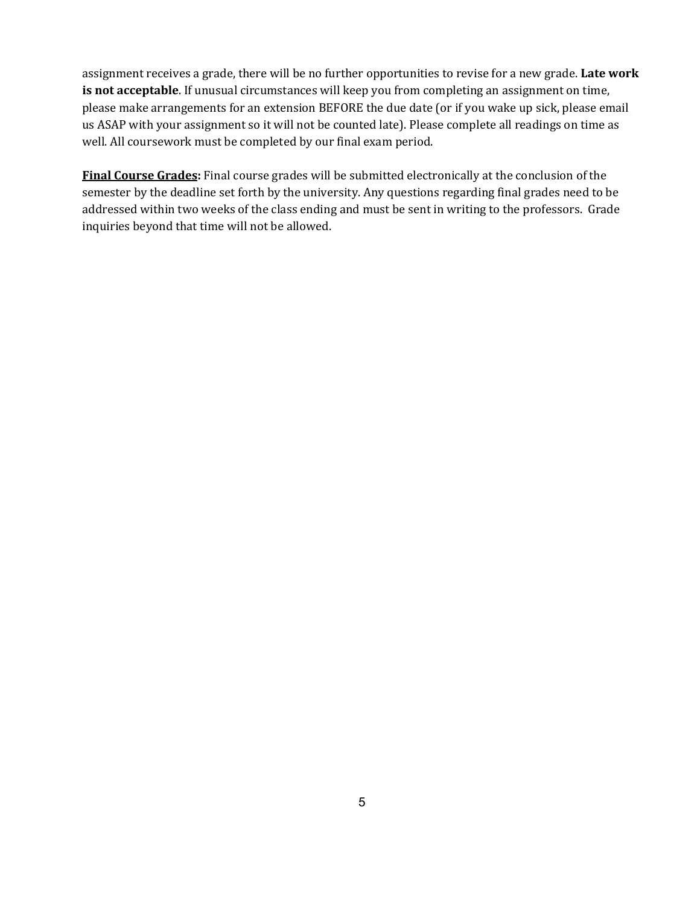assignment receives a grade, there will be no further opportunities to revise for a new grade. **Late work**  is not acceptable. If unusual circumstances will keep you from completing an assignment on time, please make arrangements for an extension BEFORE the due date (or if you wake up sick, please email us ASAP with your assignment so it will not be counted late). Please complete all readings on time as well. All coursework must be completed by our final exam period.

**Final Course Grades:** Final course grades will be submitted electronically at the conclusion of the semester by the deadline set forth by the university. Any questions regarding final grades need to be addressed within two weeks of the class ending and must be sent in writing to the professors. Grade inquiries beyond that time will not be allowed.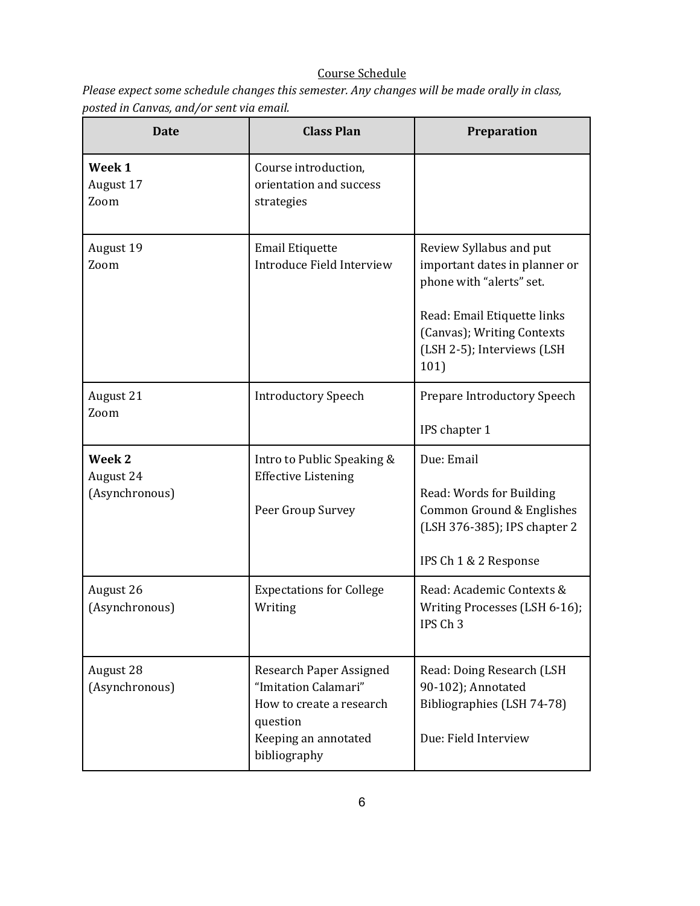# Course Schedule

*Please expect some schedule changes this semester. Any changes will be made orally in class, posted in Canvas, and/or sent via email.* 

| <b>Date</b>                           | <b>Class Plan</b>                                                                                                               | Preparation                                                                                                                                                                             |
|---------------------------------------|---------------------------------------------------------------------------------------------------------------------------------|-----------------------------------------------------------------------------------------------------------------------------------------------------------------------------------------|
| Week 1<br>August 17<br>Zoom           | Course introduction,<br>orientation and success<br>strategies                                                                   |                                                                                                                                                                                         |
| August 19<br>Zoom                     | <b>Email Etiquette</b><br>Introduce Field Interview                                                                             | Review Syllabus and put<br>important dates in planner or<br>phone with "alerts" set.<br>Read: Email Etiquette links<br>(Canvas); Writing Contexts<br>(LSH 2-5); Interviews (LSH<br>101) |
| August 21<br>Zoom                     | <b>Introductory Speech</b>                                                                                                      | Prepare Introductory Speech<br>IPS chapter 1                                                                                                                                            |
| Week 2<br>August 24<br>(Asynchronous) | Intro to Public Speaking &<br><b>Effective Listening</b><br>Peer Group Survey                                                   | Due: Email<br>Read: Words for Building<br>Common Ground & Englishes<br>(LSH 376-385); IPS chapter 2<br>IPS Ch 1 & 2 Response                                                            |
| August 26<br>(Asynchronous)           | <b>Expectations for College</b><br>Writing                                                                                      | Read: Academic Contexts &<br>Writing Processes (LSH 6-16);<br>IPS Ch <sub>3</sub>                                                                                                       |
| August 28<br>(Asynchronous)           | Research Paper Assigned<br>"Imitation Calamari"<br>How to create a research<br>question<br>Keeping an annotated<br>bibliography | Read: Doing Research (LSH<br>90-102); Annotated<br>Bibliographies (LSH 74-78)<br>Due: Field Interview                                                                                   |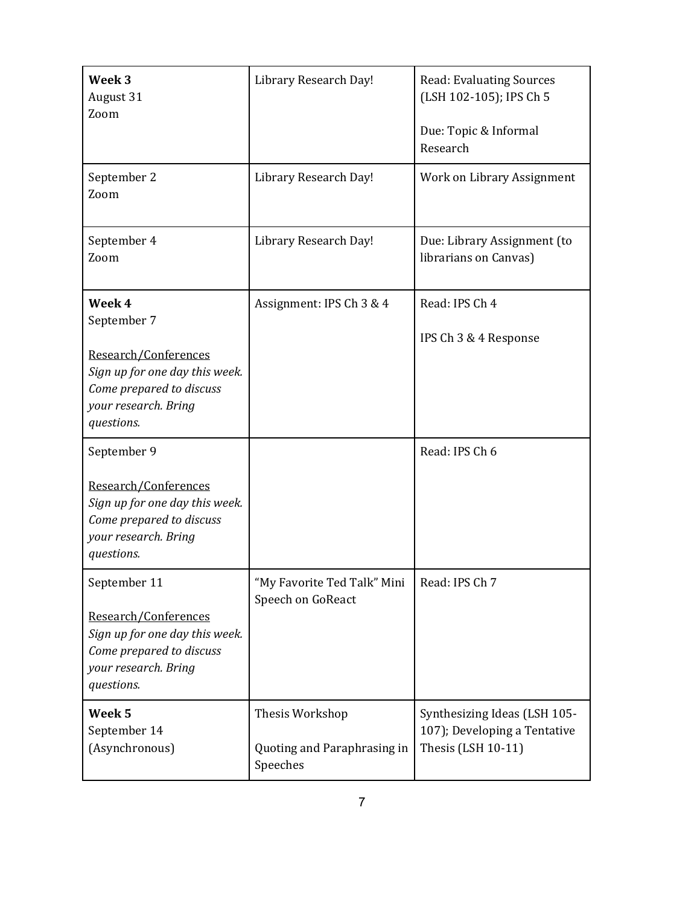| Week <sub>3</sub><br>August 31<br>Zoom                                                                                                            | Library Research Day!                                      | <b>Read: Evaluating Sources</b><br>(LSH 102-105); IPS Ch 5<br>Due: Topic & Informal<br>Research |
|---------------------------------------------------------------------------------------------------------------------------------------------------|------------------------------------------------------------|-------------------------------------------------------------------------------------------------|
| September 2<br>Zoom                                                                                                                               | Library Research Day!                                      | Work on Library Assignment                                                                      |
| September 4<br>Zoom                                                                                                                               | Library Research Day!                                      | Due: Library Assignment (to<br>librarians on Canvas)                                            |
| Week 4<br>September 7<br>Research/Conferences<br>Sign up for one day this week.<br>Come prepared to discuss<br>your research. Bring<br>questions. | Assignment: IPS Ch 3 & 4                                   | Read: IPS Ch 4<br>IPS Ch 3 & 4 Response                                                         |
| September 9<br>Research/Conferences<br>Sign up for one day this week.<br>Come prepared to discuss<br>your research. Bring<br>questions.           |                                                            | Read: IPS Ch 6                                                                                  |
| September 11<br>Research/Conferences<br>Sign up for one day this week.<br>Come prepared to discuss<br>your research. Bring<br>questions.          | 'My Favorite Ted Talk" Mini<br>Speech on GoReact           | Read: IPS Ch 7                                                                                  |
| Week 5<br>September 14<br>(Asynchronous)                                                                                                          | Thesis Workshop<br>Quoting and Paraphrasing in<br>Speeches | Synthesizing Ideas (LSH 105-<br>107); Developing a Tentative<br>Thesis (LSH 10-11)              |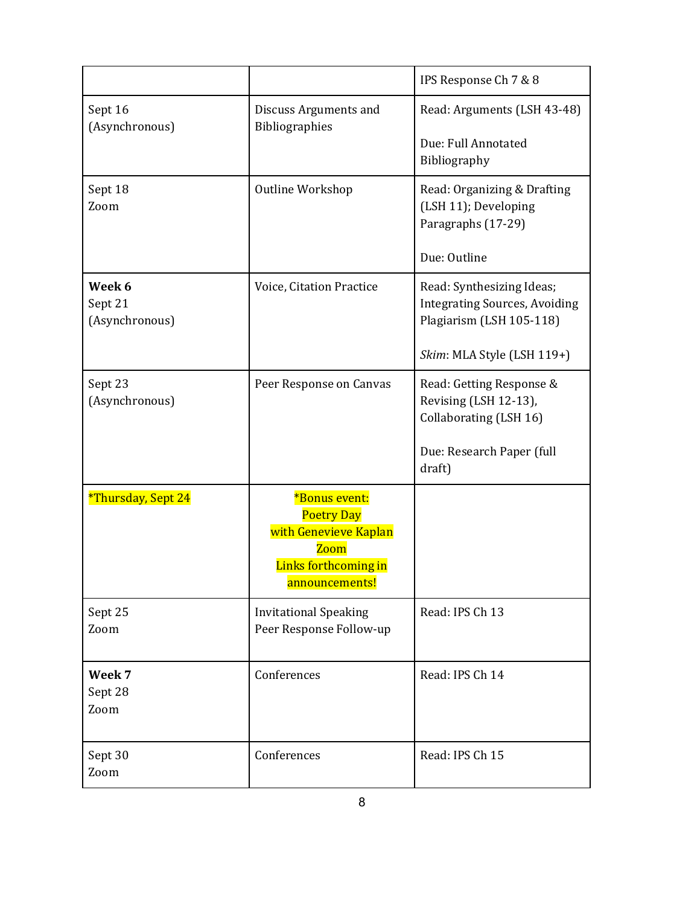|                                     |                                                                                                                      | IPS Response Ch 7 & 8                                                                                                       |
|-------------------------------------|----------------------------------------------------------------------------------------------------------------------|-----------------------------------------------------------------------------------------------------------------------------|
| Sept 16<br>(Asynchronous)           | Discuss Arguments and<br>Bibliographies                                                                              | Read: Arguments (LSH 43-48)<br>Due: Full Annotated<br>Bibliography                                                          |
| Sept 18<br>Zoom                     | Outline Workshop                                                                                                     | Read: Organizing & Drafting<br>(LSH 11); Developing<br>Paragraphs (17-29)<br>Due: Outline                                   |
| Week 6<br>Sept 21<br>(Asynchronous) | Voice, Citation Practice                                                                                             | Read: Synthesizing Ideas;<br><b>Integrating Sources, Avoiding</b><br>Plagiarism (LSH 105-118)<br>Skim: MLA Style (LSH 119+) |
| Sept 23<br>(Asynchronous)           | Peer Response on Canvas                                                                                              | Read: Getting Response &<br>Revising (LSH 12-13),<br>Collaborating (LSH 16)<br>Due: Research Paper (full<br>draft)          |
| *Thursday, Sept 24                  | *Bonus event:<br><b>Poetry Day</b><br>with Genevieve Kaplan<br><b>Zoom</b><br>Links forthcoming in<br>announcements! |                                                                                                                             |
| Sept 25<br>Zoom                     | <b>Invitational Speaking</b><br>Peer Response Follow-up                                                              | Read: IPS Ch 13                                                                                                             |
| Week 7<br>Sept 28<br>Zoom           | Conferences                                                                                                          | Read: IPS Ch 14                                                                                                             |
| Sept 30<br>Zoom                     | Conferences                                                                                                          | Read: IPS Ch 15                                                                                                             |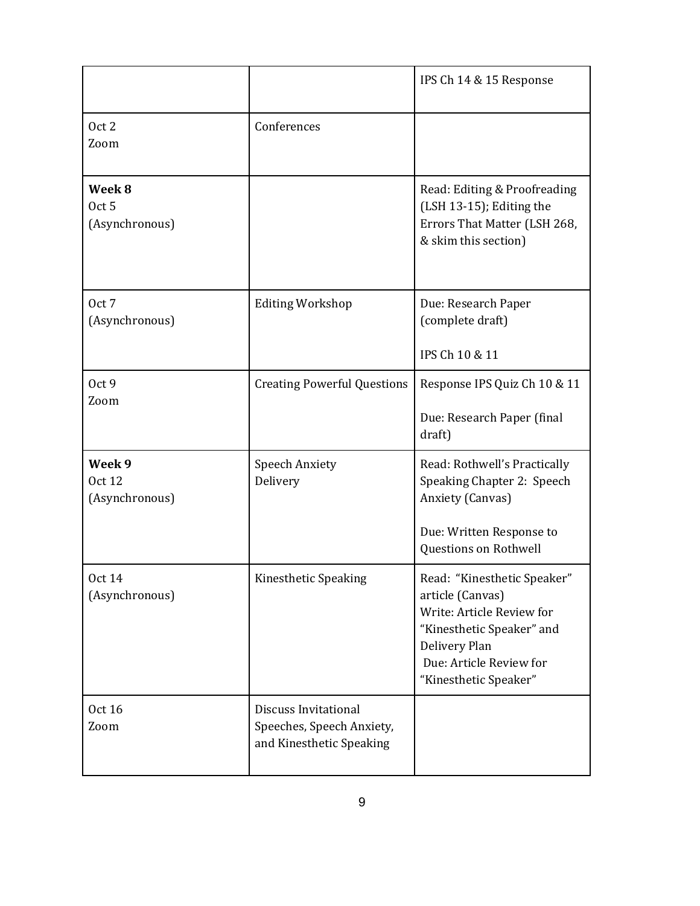|                                              |                                                                               | IPS Ch 14 & 15 Response                                                                                                                                                        |
|----------------------------------------------|-------------------------------------------------------------------------------|--------------------------------------------------------------------------------------------------------------------------------------------------------------------------------|
| Oct 2<br>Zoom                                | Conferences                                                                   |                                                                                                                                                                                |
| Week 8<br>Oct <sub>5</sub><br>(Asynchronous) |                                                                               | Read: Editing & Proofreading<br>(LSH 13-15); Editing the<br>Errors That Matter (LSH 268,<br>& skim this section)                                                               |
| Oct 7<br>(Asynchronous)                      | <b>Editing Workshop</b>                                                       | Due: Research Paper<br>(complete draft)<br>IPS Ch 10 & 11                                                                                                                      |
| Oct 9<br>Zoom                                | <b>Creating Powerful Questions</b>                                            | Response IPS Quiz Ch 10 & 11<br>Due: Research Paper (final<br>draft)                                                                                                           |
| Week 9<br><b>Oct 12</b><br>(Asynchronous)    | <b>Speech Anxiety</b><br>Delivery                                             | Read: Rothwell's Practically<br>Speaking Chapter 2: Speech<br>Anxiety (Canvas)<br>Due: Written Response to<br>Questions on Rothwell                                            |
| <b>Oct 14</b><br>(Asynchronous)              | Kinesthetic Speaking                                                          | Read: "Kinesthetic Speaker"<br>article (Canvas)<br>Write: Article Review for<br>"Kinesthetic Speaker" and<br>Delivery Plan<br>Due: Article Review for<br>"Kinesthetic Speaker" |
| <b>Oct 16</b><br>Zoom                        | Discuss Invitational<br>Speeches, Speech Anxiety,<br>and Kinesthetic Speaking |                                                                                                                                                                                |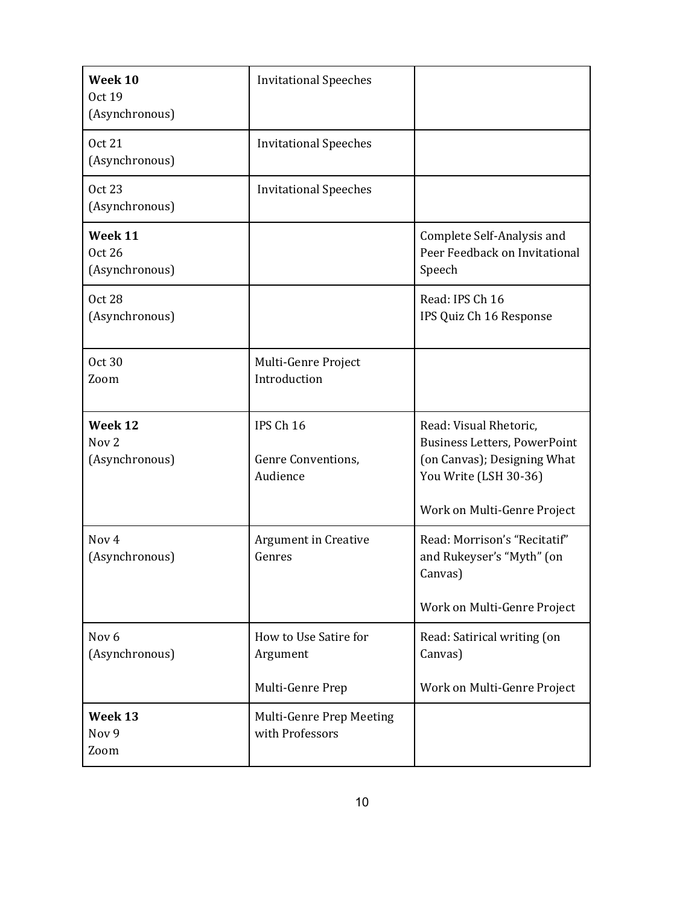| Week 10<br><b>Oct 19</b><br>(Asynchronous)    | <b>Invitational Speeches</b>                          |                                                                                                                       |
|-----------------------------------------------|-------------------------------------------------------|-----------------------------------------------------------------------------------------------------------------------|
| <b>Oct 21</b><br>(Asynchronous)               | <b>Invitational Speeches</b>                          |                                                                                                                       |
| <b>Oct 23</b><br>(Asynchronous)               | <b>Invitational Speeches</b>                          |                                                                                                                       |
| Week 11<br><b>Oct 26</b><br>(Asynchronous)    |                                                       | Complete Self-Analysis and<br>Peer Feedback on Invitational<br>Speech                                                 |
| <b>Oct 28</b><br>(Asynchronous)               |                                                       | Read: IPS Ch 16<br>IPS Quiz Ch 16 Response                                                                            |
| <b>Oct 30</b><br>Zoom                         | Multi-Genre Project<br>Introduction                   |                                                                                                                       |
| Week 12<br>Nov <sub>2</sub><br>(Asynchronous) | IPS Ch 16<br>Genre Conventions,<br>Audience           | Read: Visual Rhetoric,<br><b>Business Letters, PowerPoint</b><br>(on Canvas); Designing What<br>You Write (LSH 30-36) |
|                                               |                                                       | Work on Multi-Genre Project                                                                                           |
| Nov <sub>4</sub><br>(Asynchronous)            | <b>Argument in Creative</b><br>Genres                 | Read: Morrison's "Recitatif"<br>and Rukeyser's "Myth" (on<br>Canvas)<br>Work on Multi-Genre Project                   |
| Nov <sub>6</sub><br>(Asynchronous)            | How to Use Satire for<br>Argument<br>Multi-Genre Prep | Read: Satirical writing (on<br>Canvas)<br>Work on Multi-Genre Project                                                 |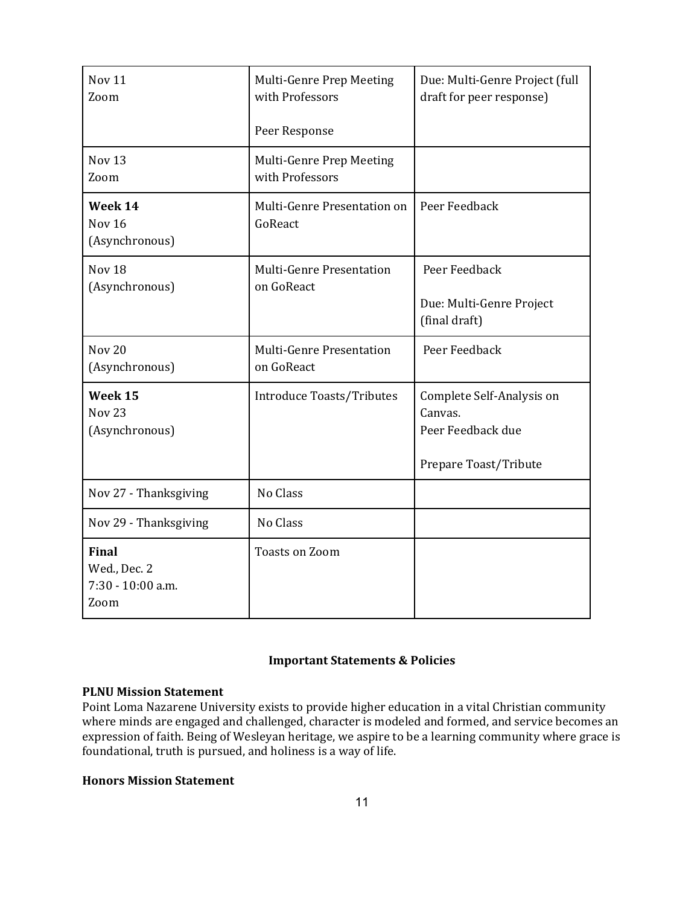| Nov <sub>11</sub><br>Zoom                                 | Multi-Genre Prep Meeting<br>with Professors   | Due: Multi-Genre Project (full<br>draft for peer response)                         |
|-----------------------------------------------------------|-----------------------------------------------|------------------------------------------------------------------------------------|
|                                                           | Peer Response                                 |                                                                                    |
| Nov <sub>13</sub><br>Zoom                                 | Multi-Genre Prep Meeting<br>with Professors   |                                                                                    |
| Week 14<br>Nov <sub>16</sub><br>(Asynchronous)            | Multi-Genre Presentation on<br>GoReact        | Peer Feedback                                                                      |
| Nov <sub>18</sub><br>(Asynchronous)                       | <b>Multi-Genre Presentation</b><br>on GoReact | Peer Feedback<br>Due: Multi-Genre Project<br>(final draft)                         |
| <b>Nov 20</b><br>(Asynchronous)                           | <b>Multi-Genre Presentation</b><br>on GoReact | Peer Feedback                                                                      |
| Week 15<br><b>Nov 23</b><br>(Asynchronous)                | Introduce Toasts/Tributes                     | Complete Self-Analysis on<br>Canvas.<br>Peer Feedback due<br>Prepare Toast/Tribute |
| Nov 27 - Thanksgiving                                     | No Class                                      |                                                                                    |
| Nov 29 - Thanksgiving                                     | No Class                                      |                                                                                    |
| <b>Final</b><br>Wed., Dec. 2<br>7:30 - 10:00 a.m.<br>Zoom | <b>Toasts on Zoom</b>                         |                                                                                    |

# **Important Statements & Policies**

## **PLNU Mission Statement**

Point Loma Nazarene University exists to provide higher education in a vital Christian community where minds are engaged and challenged, character is modeled and formed, and service becomes an expression of faith. Being of Wesleyan heritage, we aspire to be a learning community where grace is foundational, truth is pursued, and holiness is a way of life.

## **Honors Mission Statement**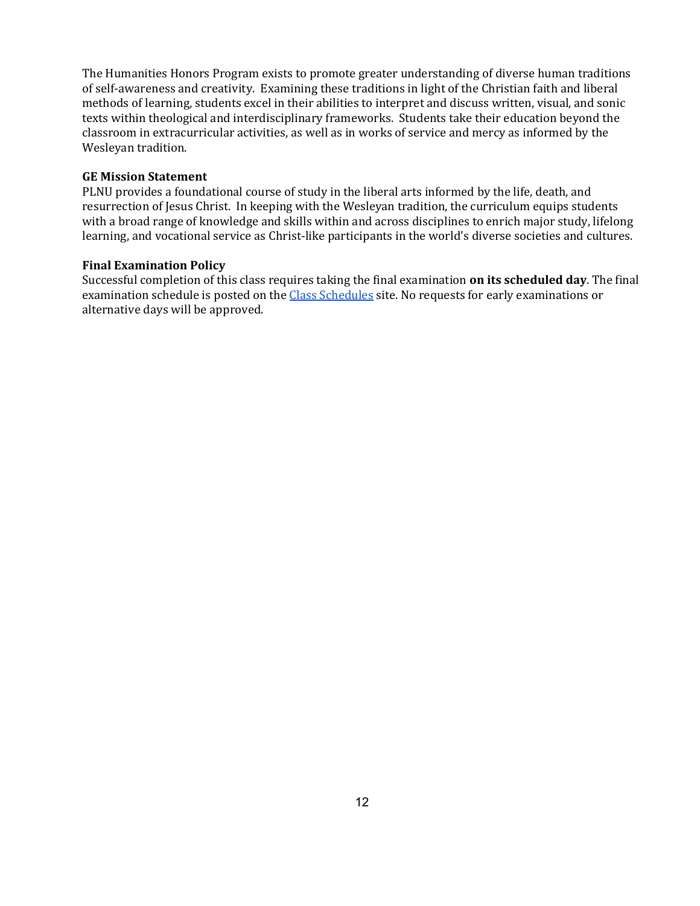The Humanities Honors Program exists to promote greater understanding of diverse human traditions of self-awareness and creativity. Examining these traditions in light of the Christian faith and liberal methods of learning, students excel in their abilities to interpret and discuss written, visual, and sonic texts within theological and interdisciplinary frameworks. Students take their education beyond the classroom in extracurricular activities, as well as in works of service and mercy as informed by the Wesleyan tradition.

#### **GE Mission Statement**

PLNU provides a foundational course of study in the liberal arts informed by the life, death, and resurrection of Jesus Christ. In keeping with the Wesleyan tradition, the curriculum equips students with a broad range of knowledge and skills within and across disciplines to enrich major study, lifelong learning, and vocational service as Christ-like participants in the world's diverse societies and cultures.

#### **Final Examination Policy**

Successful completion of this class requires taking the final examination **on its scheduled day**. The final examination schedule is posted on the [Class Schedules](http://www.pointloma.edu/experience/academics/class-schedules) site. No requests for early examinations or alternative days will be approved.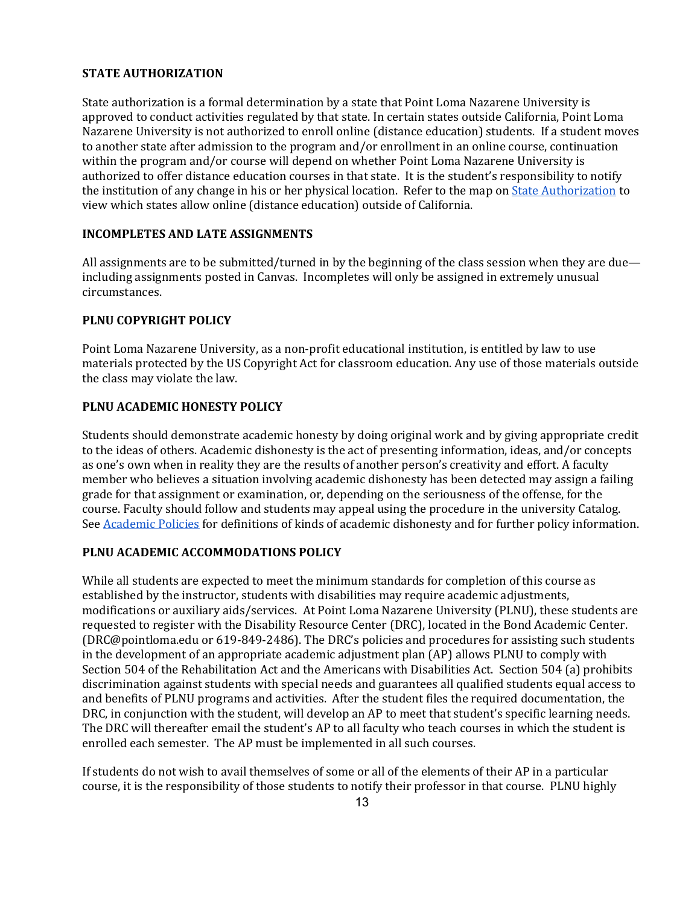#### **STATE AUTHORIZATION**

State authorization is a formal determination by a state that Point Loma Nazarene University is approved to conduct activities regulated by that state. In certain states outside California, Point Loma Nazarene University is not authorized to enroll online (distance education) students. If a student moves to another state after admission to the program and/or enrollment in an online course, continuation within the program and/or course will depend on whether Point Loma Nazarene University is authorized to offer distance education courses in that state. It is the student's responsibility to notify the institution of any change in his or her physical location. Refer to the map o[n](https://www.pointloma.edu/offices/office-institutional-effectiveness-research/disclosures) [State Authorization](https://www.pointloma.edu/offices/office-institutional-effectiveness-research/disclosures) to view which states allow online (distance education) outside of California.

#### **INCOMPLETES AND LATE ASSIGNMENTS**

All assignments are to be submitted/turned in by the beginning of the class session when they are due including assignments posted in Canvas. Incompletes will only be assigned in extremely unusual circumstances.

#### **PLNU COPYRIGHT POLICY**

Point Loma Nazarene University, as a non-profit educational institution, is entitled by law to use materials protected by the US Copyright Act for classroom education. Any use of those materials outside the class may violate the law.

### **PLNU ACADEMIC HONESTY POLICY**

Students should demonstrate academic honesty by doing original work and by giving appropriate credit to the ideas of others. Academic dishonesty is the act of presenting information, ideas, and/or concepts as one's own when in reality they are the results of another person's creativity and effort. A faculty member who believes a situation involving academic dishonesty has been detected may assign a failing grade for that assignment or examination, or, depending on the seriousness of the offense, for the course. Faculty should follow and students may appeal using the procedure in the university Catalog. See [Academic Policies](http://catalog.pointloma.edu/content.php?catoid=18&navoid=1278) for definitions of kinds of academic dishonesty and for further policy information.

#### **PLNU ACADEMIC ACCOMMODATIONS POLICY**

While all students are expected to meet the minimum standards for completion of this course as established by the instructor, students with disabilities may require academic adjustments, modifications or auxiliary aids/services. At Point Loma Nazarene University (PLNU), these students are requested to register with the Disability Resource Center (DRC), located in the Bond Academic Center. (DRC@pointloma.edu or 619-849-2486). The DRC's policies and procedures for assisting such students in the development of an appropriate academic adjustment plan (AP) allows PLNU to comply with Section 504 of the Rehabilitation Act and the Americans with Disabilities Act. Section 504 (a) prohibits discrimination against students with special needs and guarantees all qualified students equal access to and benefits of PLNU programs and activities. After the student files the required documentation, the DRC, in conjunction with the student, will develop an AP to meet that student's specific learning needs. The DRC will thereafter email the student's AP to all faculty who teach courses in which the student is enrolled each semester. The AP must be implemented in all such courses.

If students do not wish to avail themselves of some or all of the elements of their AP in a particular course, it is the responsibility of those students to notify their professor in that course. PLNU highly